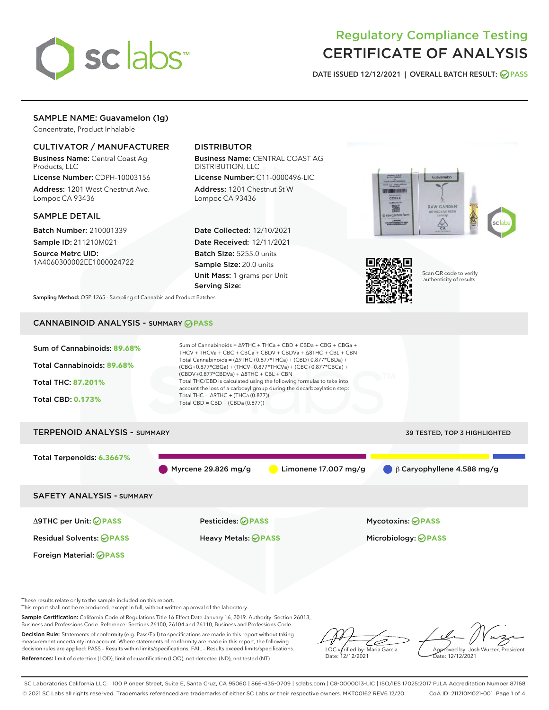

# Regulatory Compliance Testing CERTIFICATE OF ANALYSIS

DATE ISSUED 12/12/2021 | OVERALL BATCH RESULT: @ PASS

## SAMPLE NAME: Guavamelon (1g)

Concentrate, Product Inhalable

## CULTIVATOR / MANUFACTURER

Business Name: Central Coast Ag Products, LLC

License Number: CDPH-10003156 Address: 1201 West Chestnut Ave. Lompoc CA 93436

#### SAMPLE DETAIL

Batch Number: 210001339 Sample ID: 211210M021

Source Metrc UID: 1A4060300002EE1000024722

## DISTRIBUTOR

Business Name: CENTRAL COAST AG DISTRIBUTION, LLC

License Number: C11-0000496-LIC Address: 1201 Chestnut St W Lompoc CA 93436

Date Collected: 12/10/2021 Date Received: 12/11/2021 Batch Size: 5255.0 units Sample Size: 20.0 units Unit Mass: 1 grams per Unit Serving Size:





Scan QR code to verify authenticity of results.

Sampling Method: QSP 1265 - Sampling of Cannabis and Product Batches

## CANNABINOID ANALYSIS - SUMMARY **PASS**



This report shall not be reproduced, except in full, without written approval of the laboratory.

Sample Certification: California Code of Regulations Title 16 Effect Date January 16, 2019. Authority: Section 26013, Business and Professions Code. Reference: Sections 26100, 26104 and 26110, Business and Professions Code.

Decision Rule: Statements of conformity (e.g. Pass/Fail) to specifications are made in this report without taking measurement uncertainty into account. Where statements of conformity are made in this report, the following decision rules are applied: PASS – Results within limits/specifications, FAIL – Results exceed limits/specifications. References: limit of detection (LOD), limit of quantification (LOQ), not detected (ND), not tested (NT)

D LQC verified by: Maria Garcia Date: 12/12/2021

Approved by: Josh Wurzer, President Date: 12/12/2021

SC Laboratories California LLC. | 100 Pioneer Street, Suite E, Santa Cruz, CA 95060 | 866-435-0709 | sclabs.com | C8-0000013-LIC | ISO/IES 17025:2017 PJLA Accreditation Number 87168 © 2021 SC Labs all rights reserved. Trademarks referenced are trademarks of either SC Labs or their respective owners. MKT00162 REV6 12/20 CoA ID: 211210M021-001 Page 1 of 4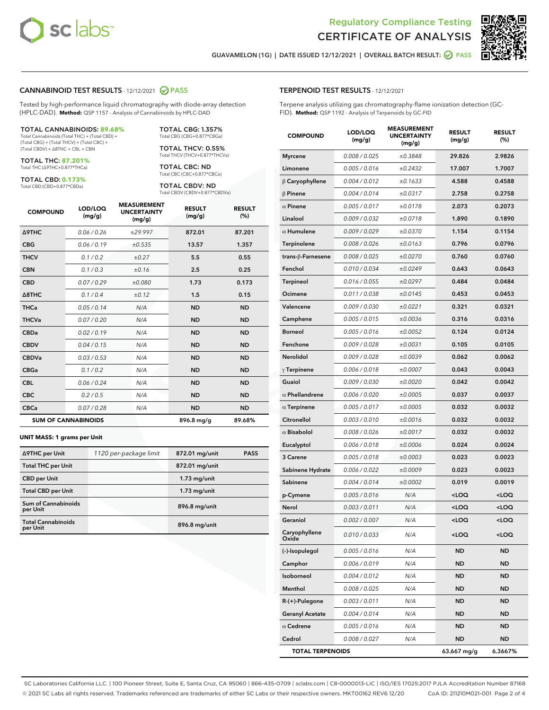



GUAVAMELON (1G) | DATE ISSUED 12/12/2021 | OVERALL BATCH RESULT:  $\bigcirc$  PASS

#### CANNABINOID TEST RESULTS - 12/12/2021 2 PASS

Tested by high-performance liquid chromatography with diode-array detection (HPLC-DAD). **Method:** QSP 1157 - Analysis of Cannabinoids by HPLC-DAD

#### TOTAL CANNABINOIDS: **89.68%**

Total Cannabinoids (Total THC) + (Total CBD) + (Total CBG) + (Total THCV) + (Total CBC) + (Total CBDV) + ∆8THC + CBL + CBN

TOTAL THC: **87.201%** Total THC (∆9THC+0.877\*THCa)

TOTAL CBD: **0.173%**

Total CBD (CBD+0.877\*CBDa)

TOTAL CBG: 1.357% Total CBG (CBG+0.877\*CBGa)

TOTAL THCV: 0.55% Total THCV (THCV+0.877\*THCVa)

TOTAL CBC: ND Total CBC (CBC+0.877\*CBCa)

TOTAL CBDV: ND Total CBDV (CBDV+0.877\*CBDVa)

| <b>COMPOUND</b>            | LOD/LOQ<br>(mg/g) | <b>MEASUREMENT</b><br><b>UNCERTAINTY</b><br>(mg/g) | <b>RESULT</b><br>(mg/g) | <b>RESULT</b><br>(%) |
|----------------------------|-------------------|----------------------------------------------------|-------------------------|----------------------|
| <b>A9THC</b>               | 0.06 / 0.26       | ±29.997                                            | 872.01                  | 87.201               |
| <b>CBG</b>                 | 0.06/0.19         | ±0.535                                             | 13.57                   | 1.357                |
| <b>THCV</b>                | 0.1 / 0.2         | ±0.27                                              | 5.5                     | 0.55                 |
| <b>CBN</b>                 | 0.1 / 0.3         | ±0.16                                              | 2.5                     | 0.25                 |
| <b>CBD</b>                 | 0.07/0.29         | ±0.080                                             | 1.73                    | 0.173                |
| $\triangle$ 8THC           | 0.1 / 0.4         | ±0.12                                              | 1.5                     | 0.15                 |
| <b>THCa</b>                | 0.05/0.14         | N/A                                                | <b>ND</b>               | <b>ND</b>            |
| <b>THCVa</b>               | 0.07/0.20         | N/A                                                | <b>ND</b>               | <b>ND</b>            |
| <b>CBDa</b>                | 0.02/0.19         | N/A                                                | <b>ND</b>               | <b>ND</b>            |
| <b>CBDV</b>                | 0.04/0.15         | N/A                                                | <b>ND</b>               | <b>ND</b>            |
| <b>CBDVa</b>               | 0.03/0.53         | N/A                                                | <b>ND</b>               | <b>ND</b>            |
| <b>CBGa</b>                | 0.1/0.2           | N/A                                                | <b>ND</b>               | <b>ND</b>            |
| <b>CBL</b>                 | 0.06 / 0.24       | N/A                                                | <b>ND</b>               | <b>ND</b>            |
| <b>CBC</b>                 | 0.2 / 0.5         | N/A                                                | <b>ND</b>               | <b>ND</b>            |
| <b>CBCa</b>                | 0.07/0.28         | N/A                                                | <b>ND</b>               | <b>ND</b>            |
| <b>SUM OF CANNABINOIDS</b> |                   |                                                    | 896.8 mg/g              | 89.68%               |

#### **UNIT MASS: 1 grams per Unit**

| ∆9THC per Unit                         | 1120 per-package limit | 872.01 mg/unit | <b>PASS</b> |
|----------------------------------------|------------------------|----------------|-------------|
| <b>Total THC per Unit</b>              |                        | 872.01 mg/unit |             |
| <b>CBD per Unit</b>                    |                        | $1.73$ mg/unit |             |
| <b>Total CBD per Unit</b>              |                        | $1.73$ mg/unit |             |
| <b>Sum of Cannabinoids</b><br>per Unit |                        | 896.8 mg/unit  |             |
| <b>Total Cannabinoids</b><br>per Unit  |                        | 896.8 mg/unit  |             |

| <b>COMPOUND</b>         | LOD/LOQ<br>(mg/g) | WEND<br><b>UNCERTAINTY</b><br>(mg/g) | <b>RESULT</b><br>(mg/g)                          | <b>RESULT</b><br>$(\%)$ |
|-------------------------|-------------------|--------------------------------------|--------------------------------------------------|-------------------------|
| <b>Myrcene</b>          | 0.008 / 0.025     | ±0.3848                              | 29.826                                           | 2.9826                  |
| Limonene                | 0.005 / 0.016     | ±0.2432                              | 17.007                                           | 1.7007                  |
| $\beta$ Caryophyllene   | 0.004 / 0.012     | ±0.1633                              | 4.588                                            | 0.4588                  |
| $\beta$ Pinene          | 0.004 / 0.014     | ±0.0317                              | 2.758                                            | 0.2758                  |
| $\alpha$ Pinene         | 0.005 / 0.017     | ±0.0178                              | 2.073                                            | 0.2073                  |
| Linalool                | 0.009 / 0.032     | ±0.0718                              | 1.890                                            | 0.1890                  |
| $\alpha$ Humulene       | 0.009 / 0.029     | ±0.0370                              | 1.154                                            | 0.1154                  |
| Terpinolene             | 0.008 / 0.026     | ±0.0163                              | 0.796                                            | 0.0796                  |
| trans-ß-Farnesene       | 0.008 / 0.025     | ±0.0270                              | 0.760                                            | 0.0760                  |
| Fenchol                 | 0.010 / 0.034     | ±0.0249                              | 0.643                                            | 0.0643                  |
| Terpineol               | 0.016 / 0.055     | ±0.0297                              | 0.484                                            | 0.0484                  |
| Ocimene                 | 0.011 / 0.038     | ±0.0145                              | 0.453                                            | 0.0453                  |
| Valencene               | 0.009 / 0.030     | ±0.0221                              | 0.321                                            | 0.0321                  |
| Camphene                | 0.005 / 0.015     | ±0.0036                              | 0.316                                            | 0.0316                  |
| Borneol                 | 0.005 / 0.016     | ±0.0052                              | 0.124                                            | 0.0124                  |
| Fenchone                | 0.009 / 0.028     | ±0.0031                              | 0.105                                            | 0.0105                  |
| Nerolidol               | 0.009 / 0.028     | ±0.0039                              | 0.062                                            | 0.0062                  |
| $\gamma$ Terpinene      | 0.006 / 0.018     | ±0.0007                              | 0.043                                            | 0.0043                  |
| Guaiol                  | 0.009 / 0.030     | ±0.0020                              | 0.042                                            | 0.0042                  |
| $\alpha$ Phellandrene   | 0.006 / 0.020     | ±0.0005                              | 0.037                                            | 0.0037                  |
| $\alpha$ Terpinene      | 0.005 / 0.017     | ±0.0005                              | 0.032                                            | 0.0032                  |
| Citronellol             | 0.003 / 0.010     | ±0.0016                              | 0.032                                            | 0.0032                  |
| $\alpha$ Bisabolol      | 0.008 / 0.026     | ±0.0017                              | 0.032                                            | 0.0032                  |
| Eucalyptol              | 0.006 / 0.018     | ±0.0006                              | 0.024                                            | 0.0024                  |
| 3 Carene                | 0.005 / 0.018     | ±0.0003                              | 0.023                                            | 0.0023                  |
| Sabinene Hydrate        | 0.006 / 0.022     | ±0.0009                              | 0.023                                            | 0.0023                  |
| Sabinene                | 0.004 / 0.014     | ±0.0002                              | 0.019                                            | 0.0019                  |
| p-Cymene                | 0.005 / 0.016     | N/A                                  | <loq< th=""><th><math>&lt;</math>LOQ</th></loq<> | $<$ LOQ                 |
| Nerol                   | 0.003 / 0.011     | N/A                                  | <loq< th=""><th><loq< th=""></loq<></th></loq<>  | <loq< th=""></loq<>     |
| Geraniol                | 0.002 / 0.007     | N/A                                  | <loq< th=""><th><loq< th=""></loq<></th></loq<>  | <loq< th=""></loq<>     |
| Caryophyllene<br>Oxide  | 0.010 / 0.033     | N/A                                  | <loq< th=""><th><loq< th=""></loq<></th></loq<>  | <loq< th=""></loq<>     |
| (-)-Isopulegol          | 0.005 / 0.016     | N/A                                  | ND                                               | ND                      |
| Camphor                 | 0.006 / 0.019     | N/A                                  | <b>ND</b>                                        | ND                      |
| Isoborneol              | 0.004 / 0.012     | N/A                                  | ND                                               | ND                      |
| Menthol                 | 0.008 / 0.025     | N/A                                  | ND                                               | ND                      |
| R-(+)-Pulegone          | 0.003 / 0.011     | N/A                                  | <b>ND</b>                                        | ND                      |
| <b>Geranyl Acetate</b>  | 0.004 / 0.014     | N/A                                  | ND                                               | ND                      |
| $\alpha$ Cedrene        | 0.005 / 0.016     | N/A                                  | ND                                               | ND                      |
| Cedrol                  | 0.008 / 0.027     | N/A                                  | <b>ND</b>                                        | ND                      |
| <b>TOTAL TERPENOIDS</b> |                   |                                      | 63.667 mg/g                                      | 6.3667%                 |

SC Laboratories California LLC. | 100 Pioneer Street, Suite E, Santa Cruz, CA 95060 | 866-435-0709 | sclabs.com | C8-0000013-LIC | ISO/IES 17025:2017 PJLA Accreditation Number 87168 © 2021 SC Labs all rights reserved. Trademarks referenced are trademarks of either SC Labs or their respective owners. MKT00162 REV6 12/20 CoA ID: 211210M021-001 Page 2 of 4

## TERPENOID TEST RESULTS - 12/12/2021

Terpene analysis utilizing gas chromatography-flame ionization detection (GC-FID). **Method:** QSP 1192 - Analysis of Terpenoids by GC-FID

MEACUREMENT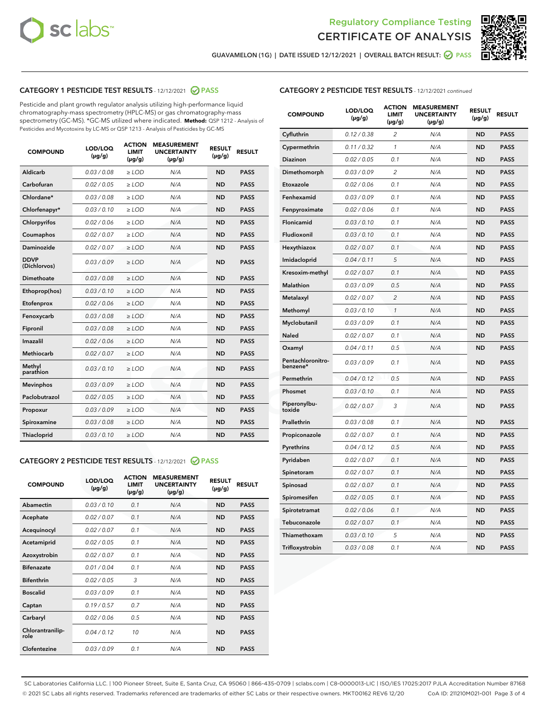



GUAVAMELON (1G) | DATE ISSUED 12/12/2021 | OVERALL BATCH RESULT: 2 PASS

#### CATEGORY 1 PESTICIDE TEST RESULTS - 12/12/2021 2 PASS

Pesticide and plant growth regulator analysis utilizing high-performance liquid chromatography-mass spectrometry (HPLC-MS) or gas chromatography-mass spectrometry (GC-MS). \*GC-MS utilized where indicated. **Method:** QSP 1212 - Analysis of Pesticides and Mycotoxins by LC-MS or QSP 1213 - Analysis of Pesticides by GC-MS

| <b>Aldicarb</b><br>0.03 / 0.08<br><b>ND</b><br>$\ge$ LOD<br>N/A<br><b>PASS</b><br>Carbofuran<br>0.02/0.05<br>$\ge$ LOD<br>N/A<br><b>ND</b><br><b>PASS</b><br>Chlordane*<br>0.03 / 0.08<br><b>ND</b><br>$>$ LOD<br>N/A<br><b>PASS</b><br>0.03/0.10<br><b>ND</b><br><b>PASS</b><br>Chlorfenapyr*<br>$\ge$ LOD<br>N/A<br>0.02 / 0.06<br>N/A<br><b>ND</b><br><b>PASS</b><br>Chlorpyrifos<br>$\ge$ LOD<br>0.02 / 0.07<br>N/A<br><b>ND</b><br><b>PASS</b><br>Coumaphos<br>$>$ LOD<br>Daminozide<br>0.02 / 0.07<br>$\ge$ LOD<br>N/A<br><b>ND</b><br><b>PASS</b><br><b>DDVP</b><br>0.03/0.09<br>$\ge$ LOD<br>N/A<br><b>ND</b><br><b>PASS</b><br>(Dichlorvos)<br>Dimethoate<br><b>ND</b><br><b>PASS</b><br>0.03 / 0.08<br>$>$ LOD<br>N/A<br>0.03/0.10<br>Ethoprop(hos)<br>$\ge$ LOD<br>N/A<br><b>ND</b><br><b>PASS</b><br>0.02 / 0.06<br>$\ge$ LOD<br>N/A<br><b>ND</b><br><b>PASS</b><br>Etofenprox<br>Fenoxycarb<br>0.03 / 0.08<br>$>$ LOD<br>N/A<br><b>ND</b><br><b>PASS</b><br>0.03 / 0.08<br><b>ND</b><br><b>PASS</b><br>Fipronil<br>$\ge$ LOD<br>N/A<br>Imazalil<br>0.02 / 0.06<br>$>$ LOD<br>N/A<br><b>ND</b><br><b>PASS</b><br>0.02 / 0.07<br>Methiocarb<br>N/A<br><b>ND</b><br>$>$ LOD<br><b>PASS</b><br>Methyl<br>0.03/0.10<br>$\ge$ LOD<br>N/A<br><b>ND</b><br><b>PASS</b><br>parathion<br>0.03/0.09<br>$\ge$ LOD<br>N/A<br><b>ND</b><br><b>PASS</b><br><b>Mevinphos</b><br>Paclobutrazol<br>0.02 / 0.05<br>$\ge$ LOD<br>N/A<br><b>ND</b><br><b>PASS</b><br>0.03/0.09<br>N/A<br>$\ge$ LOD<br><b>ND</b><br><b>PASS</b><br>Propoxur<br>0.03 / 0.08<br><b>ND</b><br><b>PASS</b><br>Spiroxamine<br>$\ge$ LOD<br>N/A<br><b>PASS</b><br>Thiacloprid<br>0.03/0.10<br>$\ge$ LOD<br>N/A<br><b>ND</b> | <b>COMPOUND</b> | LOD/LOQ<br>$(\mu g/g)$ | <b>ACTION</b><br>LIMIT<br>$(\mu g/g)$ | <b>MEASUREMENT</b><br><b>UNCERTAINTY</b><br>$(\mu g/g)$ | <b>RESULT</b><br>$(\mu g/g)$ | <b>RESULT</b> |
|----------------------------------------------------------------------------------------------------------------------------------------------------------------------------------------------------------------------------------------------------------------------------------------------------------------------------------------------------------------------------------------------------------------------------------------------------------------------------------------------------------------------------------------------------------------------------------------------------------------------------------------------------------------------------------------------------------------------------------------------------------------------------------------------------------------------------------------------------------------------------------------------------------------------------------------------------------------------------------------------------------------------------------------------------------------------------------------------------------------------------------------------------------------------------------------------------------------------------------------------------------------------------------------------------------------------------------------------------------------------------------------------------------------------------------------------------------------------------------------------------------------------------------------------------------------------------------------------------------------------------------------------------------------------------------------------|-----------------|------------------------|---------------------------------------|---------------------------------------------------------|------------------------------|---------------|
|                                                                                                                                                                                                                                                                                                                                                                                                                                                                                                                                                                                                                                                                                                                                                                                                                                                                                                                                                                                                                                                                                                                                                                                                                                                                                                                                                                                                                                                                                                                                                                                                                                                                                              |                 |                        |                                       |                                                         |                              |               |
|                                                                                                                                                                                                                                                                                                                                                                                                                                                                                                                                                                                                                                                                                                                                                                                                                                                                                                                                                                                                                                                                                                                                                                                                                                                                                                                                                                                                                                                                                                                                                                                                                                                                                              |                 |                        |                                       |                                                         |                              |               |
|                                                                                                                                                                                                                                                                                                                                                                                                                                                                                                                                                                                                                                                                                                                                                                                                                                                                                                                                                                                                                                                                                                                                                                                                                                                                                                                                                                                                                                                                                                                                                                                                                                                                                              |                 |                        |                                       |                                                         |                              |               |
|                                                                                                                                                                                                                                                                                                                                                                                                                                                                                                                                                                                                                                                                                                                                                                                                                                                                                                                                                                                                                                                                                                                                                                                                                                                                                                                                                                                                                                                                                                                                                                                                                                                                                              |                 |                        |                                       |                                                         |                              |               |
|                                                                                                                                                                                                                                                                                                                                                                                                                                                                                                                                                                                                                                                                                                                                                                                                                                                                                                                                                                                                                                                                                                                                                                                                                                                                                                                                                                                                                                                                                                                                                                                                                                                                                              |                 |                        |                                       |                                                         |                              |               |
|                                                                                                                                                                                                                                                                                                                                                                                                                                                                                                                                                                                                                                                                                                                                                                                                                                                                                                                                                                                                                                                                                                                                                                                                                                                                                                                                                                                                                                                                                                                                                                                                                                                                                              |                 |                        |                                       |                                                         |                              |               |
|                                                                                                                                                                                                                                                                                                                                                                                                                                                                                                                                                                                                                                                                                                                                                                                                                                                                                                                                                                                                                                                                                                                                                                                                                                                                                                                                                                                                                                                                                                                                                                                                                                                                                              |                 |                        |                                       |                                                         |                              |               |
|                                                                                                                                                                                                                                                                                                                                                                                                                                                                                                                                                                                                                                                                                                                                                                                                                                                                                                                                                                                                                                                                                                                                                                                                                                                                                                                                                                                                                                                                                                                                                                                                                                                                                              |                 |                        |                                       |                                                         |                              |               |
|                                                                                                                                                                                                                                                                                                                                                                                                                                                                                                                                                                                                                                                                                                                                                                                                                                                                                                                                                                                                                                                                                                                                                                                                                                                                                                                                                                                                                                                                                                                                                                                                                                                                                              |                 |                        |                                       |                                                         |                              |               |
|                                                                                                                                                                                                                                                                                                                                                                                                                                                                                                                                                                                                                                                                                                                                                                                                                                                                                                                                                                                                                                                                                                                                                                                                                                                                                                                                                                                                                                                                                                                                                                                                                                                                                              |                 |                        |                                       |                                                         |                              |               |
|                                                                                                                                                                                                                                                                                                                                                                                                                                                                                                                                                                                                                                                                                                                                                                                                                                                                                                                                                                                                                                                                                                                                                                                                                                                                                                                                                                                                                                                                                                                                                                                                                                                                                              |                 |                        |                                       |                                                         |                              |               |
|                                                                                                                                                                                                                                                                                                                                                                                                                                                                                                                                                                                                                                                                                                                                                                                                                                                                                                                                                                                                                                                                                                                                                                                                                                                                                                                                                                                                                                                                                                                                                                                                                                                                                              |                 |                        |                                       |                                                         |                              |               |
|                                                                                                                                                                                                                                                                                                                                                                                                                                                                                                                                                                                                                                                                                                                                                                                                                                                                                                                                                                                                                                                                                                                                                                                                                                                                                                                                                                                                                                                                                                                                                                                                                                                                                              |                 |                        |                                       |                                                         |                              |               |
|                                                                                                                                                                                                                                                                                                                                                                                                                                                                                                                                                                                                                                                                                                                                                                                                                                                                                                                                                                                                                                                                                                                                                                                                                                                                                                                                                                                                                                                                                                                                                                                                                                                                                              |                 |                        |                                       |                                                         |                              |               |
|                                                                                                                                                                                                                                                                                                                                                                                                                                                                                                                                                                                                                                                                                                                                                                                                                                                                                                                                                                                                                                                                                                                                                                                                                                                                                                                                                                                                                                                                                                                                                                                                                                                                                              |                 |                        |                                       |                                                         |                              |               |
|                                                                                                                                                                                                                                                                                                                                                                                                                                                                                                                                                                                                                                                                                                                                                                                                                                                                                                                                                                                                                                                                                                                                                                                                                                                                                                                                                                                                                                                                                                                                                                                                                                                                                              |                 |                        |                                       |                                                         |                              |               |
|                                                                                                                                                                                                                                                                                                                                                                                                                                                                                                                                                                                                                                                                                                                                                                                                                                                                                                                                                                                                                                                                                                                                                                                                                                                                                                                                                                                                                                                                                                                                                                                                                                                                                              |                 |                        |                                       |                                                         |                              |               |
|                                                                                                                                                                                                                                                                                                                                                                                                                                                                                                                                                                                                                                                                                                                                                                                                                                                                                                                                                                                                                                                                                                                                                                                                                                                                                                                                                                                                                                                                                                                                                                                                                                                                                              |                 |                        |                                       |                                                         |                              |               |
|                                                                                                                                                                                                                                                                                                                                                                                                                                                                                                                                                                                                                                                                                                                                                                                                                                                                                                                                                                                                                                                                                                                                                                                                                                                                                                                                                                                                                                                                                                                                                                                                                                                                                              |                 |                        |                                       |                                                         |                              |               |
|                                                                                                                                                                                                                                                                                                                                                                                                                                                                                                                                                                                                                                                                                                                                                                                                                                                                                                                                                                                                                                                                                                                                                                                                                                                                                                                                                                                                                                                                                                                                                                                                                                                                                              |                 |                        |                                       |                                                         |                              |               |
|                                                                                                                                                                                                                                                                                                                                                                                                                                                                                                                                                                                                                                                                                                                                                                                                                                                                                                                                                                                                                                                                                                                                                                                                                                                                                                                                                                                                                                                                                                                                                                                                                                                                                              |                 |                        |                                       |                                                         |                              |               |

#### CATEGORY 2 PESTICIDE TEST RESULTS - 12/12/2021 @ PASS

| <b>COMPOUND</b>          | LOD/LOO<br>$(\mu g/g)$ | <b>ACTION</b><br>LIMIT<br>$(\mu g/g)$ | <b>MEASUREMENT</b><br><b>UNCERTAINTY</b><br>$(\mu g/g)$ | <b>RESULT</b><br>$(\mu g/g)$ | <b>RESULT</b> |  |
|--------------------------|------------------------|---------------------------------------|---------------------------------------------------------|------------------------------|---------------|--|
| Abamectin                | 0.03/0.10              | 0.1                                   | N/A                                                     | <b>ND</b>                    | <b>PASS</b>   |  |
| Acephate                 | 0.02/0.07              | 0.1                                   | N/A                                                     | <b>ND</b>                    | <b>PASS</b>   |  |
| Acequinocyl              | 0.02/0.07              | 0.1                                   | N/A                                                     | <b>ND</b>                    | <b>PASS</b>   |  |
| Acetamiprid              | 0.02/0.05              | 0.1                                   | N/A                                                     | <b>ND</b>                    | <b>PASS</b>   |  |
| Azoxystrobin             | 0.02/0.07              | 0.1                                   | N/A                                                     | <b>ND</b>                    | <b>PASS</b>   |  |
| <b>Bifenazate</b>        | 0.01 / 0.04            | 0.1                                   | N/A                                                     | <b>ND</b>                    | <b>PASS</b>   |  |
| <b>Bifenthrin</b>        | 0.02/0.05              | 3                                     | N/A                                                     | <b>ND</b>                    | <b>PASS</b>   |  |
| <b>Boscalid</b>          | 0.03/0.09              | 0.1                                   | N/A                                                     | <b>ND</b>                    | <b>PASS</b>   |  |
| Captan                   | 0.19/0.57              | 0.7                                   | N/A                                                     | <b>ND</b>                    | <b>PASS</b>   |  |
| Carbaryl                 | 0.02/0.06              | 0.5                                   | N/A                                                     | <b>ND</b>                    | <b>PASS</b>   |  |
| Chlorantranilip-<br>role | 0.04/0.12              | 10                                    | N/A                                                     | <b>ND</b>                    | <b>PASS</b>   |  |
| Clofentezine             | 0.03/0.09              | 0.1                                   | N/A                                                     | <b>ND</b>                    | <b>PASS</b>   |  |

#### CATEGORY 2 PESTICIDE TEST RESULTS - 12/12/2021 continued

| <b>COMPOUND</b>               | LOD/LOQ<br>(µg/g) | <b>ACTION</b><br><b>LIMIT</b><br>$(\mu g/g)$ | <b>MEASUREMENT</b><br><b>UNCERTAINTY</b><br>$(\mu g/g)$ | <b>RESULT</b><br>(µg/g) | <b>RESULT</b> |
|-------------------------------|-------------------|----------------------------------------------|---------------------------------------------------------|-------------------------|---------------|
| Cyfluthrin                    | 0.12 / 0.38       | $\overline{c}$                               | N/A                                                     | ND                      | <b>PASS</b>   |
| Cypermethrin                  | 0.11 / 0.32       | $\mathcal{I}$                                | N/A                                                     | ND                      | <b>PASS</b>   |
| <b>Diazinon</b>               | 0.02 / 0.05       | 0.1                                          | N/A                                                     | <b>ND</b>               | <b>PASS</b>   |
| Dimethomorph                  | 0.03 / 0.09       | 2                                            | N/A                                                     | ND                      | <b>PASS</b>   |
| Etoxazole                     | 0.02 / 0.06       | 0.1                                          | N/A                                                     | ND                      | <b>PASS</b>   |
| Fenhexamid                    | 0.03 / 0.09       | 0.1                                          | N/A                                                     | ND                      | <b>PASS</b>   |
| Fenpyroximate                 | 0.02 / 0.06       | 0.1                                          | N/A                                                     | <b>ND</b>               | <b>PASS</b>   |
| Flonicamid                    | 0.03 / 0.10       | 0.1                                          | N/A                                                     | ND                      | <b>PASS</b>   |
| Fludioxonil                   | 0.03 / 0.10       | 0.1                                          | N/A                                                     | ND                      | <b>PASS</b>   |
| Hexythiazox                   | 0.02 / 0.07       | 0.1                                          | N/A                                                     | ND                      | <b>PASS</b>   |
| Imidacloprid                  | 0.04 / 0.11       | 5                                            | N/A                                                     | ND                      | <b>PASS</b>   |
| Kresoxim-methyl               | 0.02 / 0.07       | 0.1                                          | N/A                                                     | ND                      | <b>PASS</b>   |
| Malathion                     | 0.03 / 0.09       | 0.5                                          | N/A                                                     | ND                      | <b>PASS</b>   |
| Metalaxyl                     | 0.02 / 0.07       | $\overline{c}$                               | N/A                                                     | ND                      | <b>PASS</b>   |
| Methomyl                      | 0.03 / 0.10       | $\mathbf{1}$                                 | N/A                                                     | ND                      | <b>PASS</b>   |
| Myclobutanil                  | 0.03 / 0.09       | 0.1                                          | N/A                                                     | <b>ND</b>               | <b>PASS</b>   |
| Naled                         | 0.02 / 0.07       | 0.1                                          | N/A                                                     | ND                      | <b>PASS</b>   |
| Oxamyl                        | 0.04 / 0.11       | 0.5                                          | N/A                                                     | ND                      | PASS          |
| Pentachloronitro-<br>benzene* | 0.03 / 0.09       | 0.1                                          | N/A                                                     | ND                      | <b>PASS</b>   |
| Permethrin                    | 0.04 / 0.12       | 0.5                                          | N/A                                                     | ND                      | <b>PASS</b>   |
| Phosmet                       | 0.03 / 0.10       | 0.1                                          | N/A                                                     | ND                      | <b>PASS</b>   |
| Piperonylbu-<br>toxide        | 0.02 / 0.07       | 3                                            | N/A                                                     | <b>ND</b>               | <b>PASS</b>   |
| Prallethrin                   | 0.03 / 0.08       | 0.1                                          | N/A                                                     | ND                      | <b>PASS</b>   |
| Propiconazole                 | 0.02 / 0.07       | 0.1                                          | N/A                                                     | <b>ND</b>               | <b>PASS</b>   |
| Pyrethrins                    | 0.04 / 0.12       | 0.5                                          | N/A                                                     | ND                      | <b>PASS</b>   |
| Pyridaben                     | 0.02 / 0.07       | 0.1                                          | N/A                                                     | <b>ND</b>               | <b>PASS</b>   |
| Spinetoram                    | 0.02 / 0.07       | 0.1                                          | N/A                                                     | ND                      | <b>PASS</b>   |
| Spinosad                      | 0.02 / 0.07       | 0.1                                          | N/A                                                     | ND                      | <b>PASS</b>   |
| Spiromesifen                  | 0.02 / 0.05       | 0.1                                          | N/A                                                     | <b>ND</b>               | <b>PASS</b>   |
| Spirotetramat                 | 0.02 / 0.06       | 0.1                                          | N/A                                                     | ND                      | <b>PASS</b>   |
| Tebuconazole                  | 0.02 / 0.07       | 0.1                                          | N/A                                                     | ND                      | <b>PASS</b>   |
| Thiamethoxam                  | 0.03 / 0.10       | 5                                            | N/A                                                     | <b>ND</b>               | <b>PASS</b>   |
| Trifloxystrobin               | 0.03 / 0.08       | 0.1                                          | N/A                                                     | <b>ND</b>               | <b>PASS</b>   |

SC Laboratories California LLC. | 100 Pioneer Street, Suite E, Santa Cruz, CA 95060 | 866-435-0709 | sclabs.com | C8-0000013-LIC | ISO/IES 17025:2017 PJLA Accreditation Number 87168 © 2021 SC Labs all rights reserved. Trademarks referenced are trademarks of either SC Labs or their respective owners. MKT00162 REV6 12/20 CoA ID: 211210M021-001 Page 3 of 4